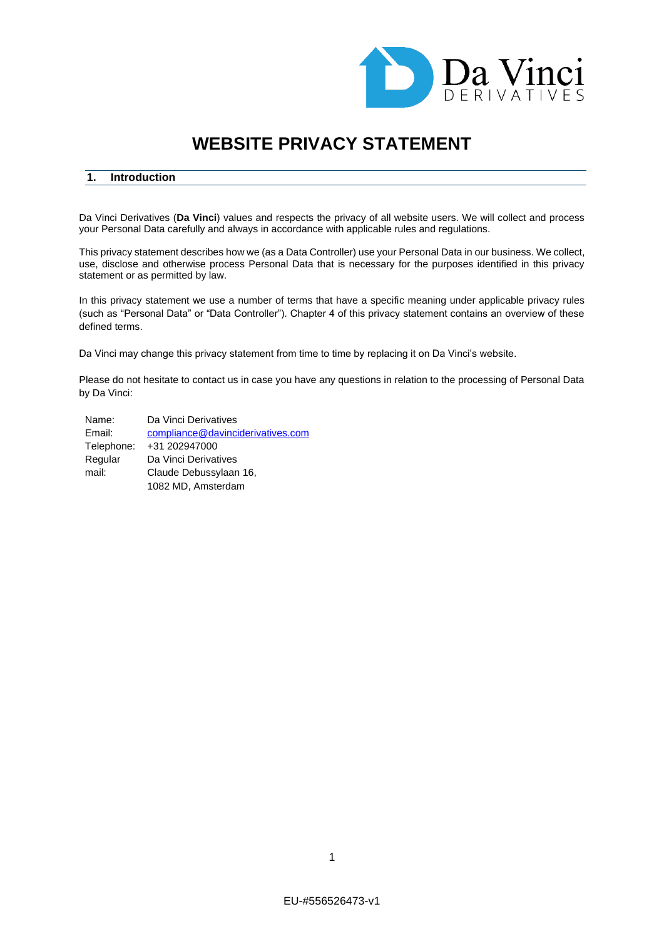

# **WEBSITE PRIVACY STATEMENT**

## **1. Introduction**

Da Vinci Derivatives (**Da Vinci**) values and respects the privacy of all website users. We will collect and process your Personal Data carefully and always in accordance with applicable rules and regulations.

This privacy statement describes how we (as a Data Controller) use your Personal Data in our business. We collect, use, disclose and otherwise process Personal Data that is necessary for the purposes identified in this privacy statement or as permitted by law.

In this privacy statement we use a number of terms that have a specific meaning under applicable privacy rules (such as "Personal Data" or "Data Controller"). Chapter 4 of this privacy statement contains an overview of these defined terms.

Da Vinci may change this privacy statement from time to time by replacing it on Da Vinci's website.

Please do not hesitate to contact us in case you have any questions in relation to the processing of Personal Data by Da Vinci:

| Name:      | Da Vinci Derivatives              |
|------------|-----------------------------------|
| Email:     | compliance@davinciderivatives.com |
| Telephone: | +31 202947000                     |
| Regular    | Da Vinci Derivatives              |
| mail:      | Claude Debussylaan 16,            |
|            | 1082 MD, Amsterdam                |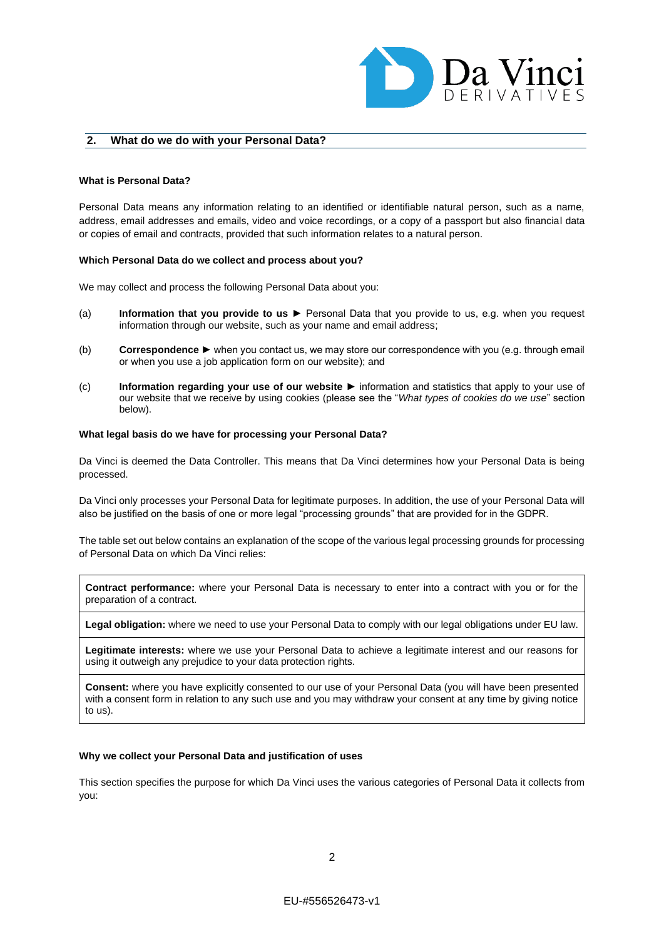

## **2. What do we do with your Personal Data?**

#### **What is Personal Data?**

Personal Data means any information relating to an identified or identifiable natural person, such as a name, address, email addresses and emails, video and voice recordings, or a copy of a passport but also financial data or copies of email and contracts, provided that such information relates to a natural person.

#### **Which Personal Data do we collect and process about you?**

We may collect and process the following Personal Data about you:

- (a) **Information that you provide to us** ► Personal Data that you provide to us, e.g. when you request information through our website, such as your name and email address;
- (b) **Correspondence** ► when you contact us, we may store our correspondence with you (e.g. through email or when you use a job application form on our website); and
- (c) **Information regarding your use of our website** ► information and statistics that apply to your use of our website that we receive by using cookies (please see the "*What types of cookies do we use*" section below).

## **What legal basis do we have for processing your Personal Data?**

Da Vinci is deemed the Data Controller. This means that Da Vinci determines how your Personal Data is being processed.

Da Vinci only processes your Personal Data for legitimate purposes. In addition, the use of your Personal Data will also be justified on the basis of one or more legal "processing grounds" that are provided for in the GDPR.

The table set out below contains an explanation of the scope of the various legal processing grounds for processing of Personal Data on which Da Vinci relies:

**Contract performance:** where your Personal Data is necessary to enter into a contract with you or for the preparation of a contract.

**Legal obligation:** where we need to use your Personal Data to comply with our legal obligations under EU law.

**Legitimate interests:** where we use your Personal Data to achieve a legitimate interest and our reasons for using it outweigh any prejudice to your data protection rights.

**Consent:** where you have explicitly consented to our use of your Personal Data (you will have been presented with a consent form in relation to any such use and you may withdraw your consent at any time by giving notice to us).

#### **Why we collect your Personal Data and justification of uses**

This section specifies the purpose for which Da Vinci uses the various categories of Personal Data it collects from you: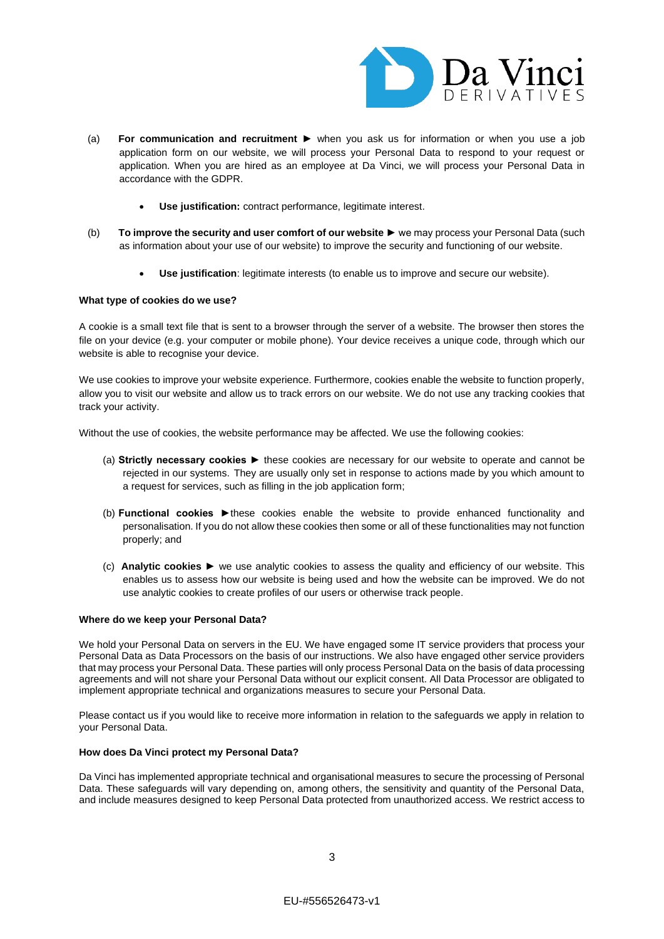

- (a) **For communication and recruitment** ► when you ask us for information or when you use a job application form on our website, we will process your Personal Data to respond to your request or application. When you are hired as an employee at Da Vinci, we will process your Personal Data in accordance with the GDPR.
	- **Use justification:** contract performance, legitimate interest.
- (b) **To improve the security and user comfort of our website** ► we may process your Personal Data (such as information about your use of our website) to improve the security and functioning of our website.
	- **Use justification**: legitimate interests (to enable us to improve and secure our website).

#### **What type of cookies do we use?**

A cookie is a small text file that is sent to a browser through the server of a website. The browser then stores the file on your device (e.g. your computer or mobile phone). Your device receives a unique code, through which our website is able to recognise your device.

We use cookies to improve your website experience. Furthermore, cookies enable the website to function properly, allow you to visit our website and allow us to track errors on our website. We do not use any tracking cookies that track your activity.

Without the use of cookies, the website performance may be affected. We use the following cookies:

- (a) **Strictly necessary cookies ►** these cookies are necessary for our website to operate and cannot be rejected in our systems. They are usually only set in response to actions made by you which amount to a request for services, such as filling in the job application form;
- (b) **Functional cookies ►**these cookies enable the website to provide enhanced functionality and personalisation. If you do not allow these cookies then some or all of these functionalities may not function properly; and
- (c) **Analytic cookies ►** we use analytic cookies to assess the quality and efficiency of our website. This enables us to assess how our website is being used and how the website can be improved. We do not use analytic cookies to create profiles of our users or otherwise track people.

#### **Where do we keep your Personal Data?**

We hold your Personal Data on servers in the EU. We have engaged some IT service providers that process your Personal Data as Data Processors on the basis of our instructions. We also have engaged other service providers that may process your Personal Data. These parties will only process Personal Data on the basis of data processing agreements and will not share your Personal Data without our explicit consent. All Data Processor are obligated to implement appropriate technical and organizations measures to secure your Personal Data.

Please contact us if you would like to receive more information in relation to the safeguards we apply in relation to your Personal Data.

#### **How does Da Vinci protect my Personal Data?**

Da Vinci has implemented appropriate technical and organisational measures to secure the processing of Personal Data. These safeguards will vary depending on, among others, the sensitivity and quantity of the Personal Data, and include measures designed to keep Personal Data protected from unauthorized access. We restrict access to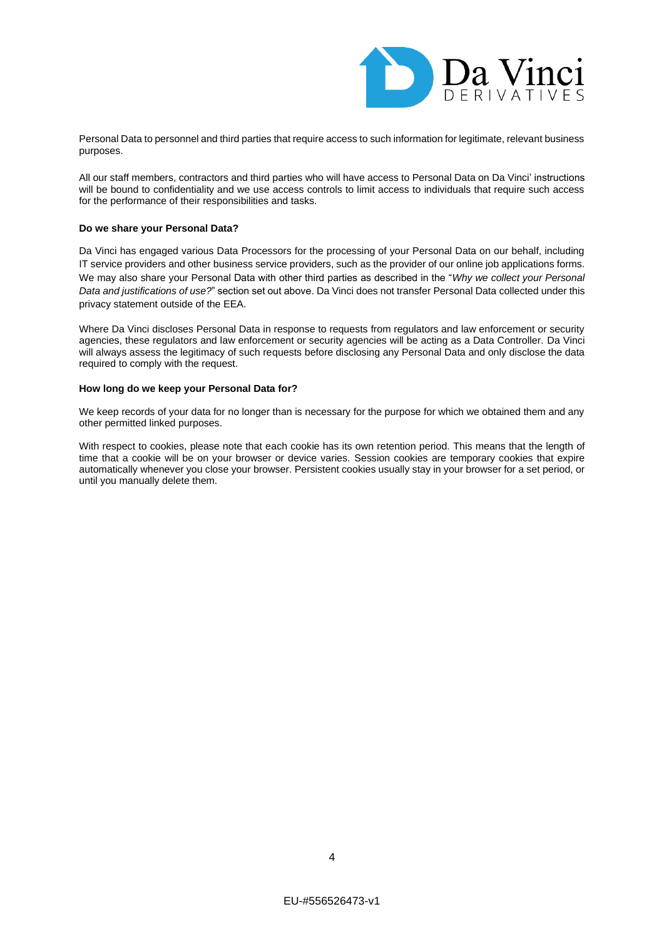

Personal Data to personnel and third parties that require access to such information for legitimate, relevant business purposes.

All our staff members, contractors and third parties who will have access to Personal Data on Da Vinci' instructions will be bound to confidentiality and we use access controls to limit access to individuals that require such access for the performance of their responsibilities and tasks.

## **Do we share your Personal Data?**

Da Vinci has engaged various Data Processors for the processing of your Personal Data on our behalf, including IT service providers and other business service providers, such as the provider of our online job applications forms. We may also share your Personal Data with other third parties as described in the "*Why we collect your Personal Data and justifications of use?*" section set out above. Da Vinci does not transfer Personal Data collected under this privacy statement outside of the EEA.

Where Da Vinci discloses Personal Data in response to requests from regulators and law enforcement or security agencies, these regulators and law enforcement or security agencies will be acting as a Data Controller. Da Vinci will always assess the legitimacy of such requests before disclosing any Personal Data and only disclose the data required to comply with the request.

## **How long do we keep your Personal Data for?**

We keep records of your data for no longer than is necessary for the purpose for which we obtained them and any other permitted linked purposes.

With respect to cookies, please note that each cookie has its own retention period. This means that the length of time that a cookie will be on your browser or device varies. Session cookies are temporary cookies that expire automatically whenever you close your browser. Persistent cookies usually stay in your browser for a set period, or until you manually delete them.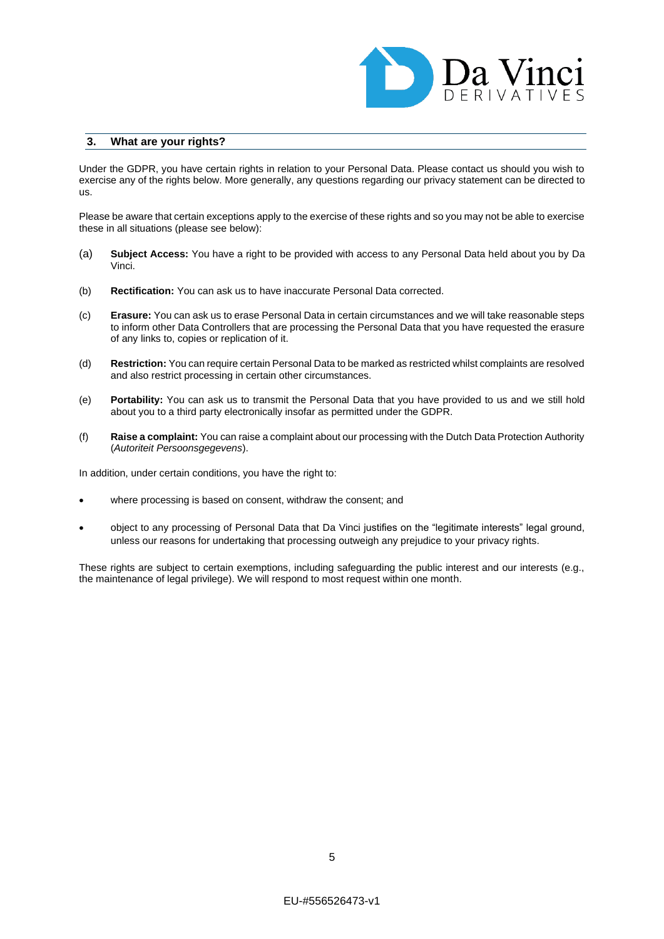

## **3. What are your rights?**

Under the GDPR, you have certain rights in relation to your Personal Data. Please contact us should you wish to exercise any of the rights below. More generally, any questions regarding our privacy statement can be directed to us.

Please be aware that certain exceptions apply to the exercise of these rights and so you may not be able to exercise these in all situations (please see below):

- (a) **Subject Access:** You have a right to be provided with access to any Personal Data held about you by Da Vinci.
- (b) **Rectification:** You can ask us to have inaccurate Personal Data corrected.
- (c) **Erasure:** You can ask us to erase Personal Data in certain circumstances and we will take reasonable steps to inform other Data Controllers that are processing the Personal Data that you have requested the erasure of any links to, copies or replication of it.
- (d) **Restriction:** You can require certain Personal Data to be marked as restricted whilst complaints are resolved and also restrict processing in certain other circumstances.
- (e) **Portability:** You can ask us to transmit the Personal Data that you have provided to us and we still hold about you to a third party electronically insofar as permitted under the GDPR.
- (f) **Raise a complaint:** You can raise a complaint about our processing with the Dutch Data Protection Authority (*Autoriteit Persoonsgegevens*).

In addition, under certain conditions, you have the right to:

- where processing is based on consent, withdraw the consent; and
- object to any processing of Personal Data that Da Vinci justifies on the "legitimate interests" legal ground, unless our reasons for undertaking that processing outweigh any prejudice to your privacy rights.

These rights are subject to certain exemptions, including safeguarding the public interest and our interests (e.g., the maintenance of legal privilege). We will respond to most request within one month.